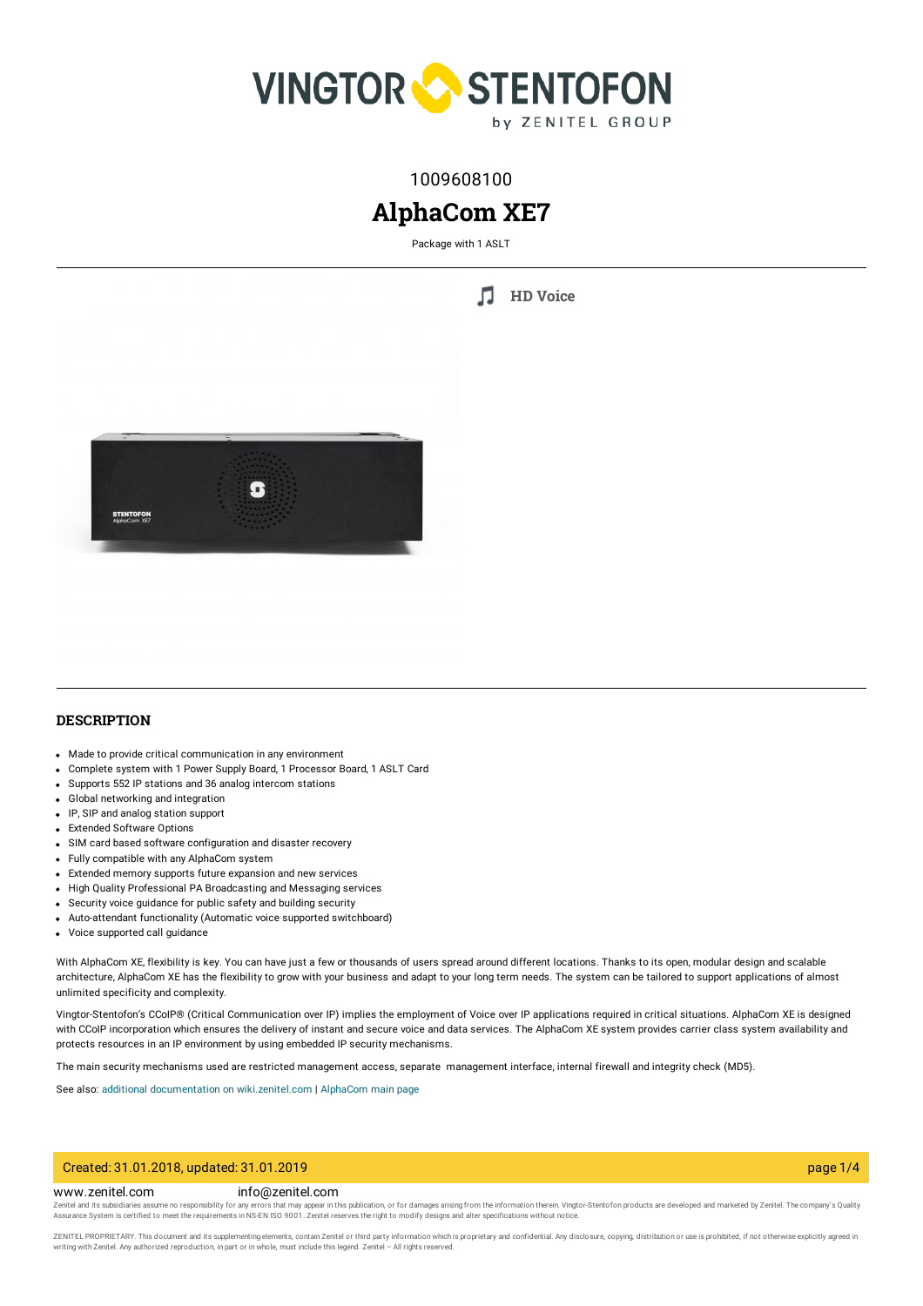

## 1009608100

# **AlphaCom XE7**

Package with 1 ASLT

П **HD [Voice](https://www.zenitel.com/technology/audio/hd-voice)**



#### **DESCRIPTION**

- Made to provide critical communication in any environment
- Complete system with 1 Power Supply Board, 1 Processor Board, 1 ASLT Card
- Supports 552 IP stations and 36 analog intercom stations
- Global networking and integration
- IP, SIP and analog station support
- **Extended Software Options**
- SIM card based software configuration and disaster recovery
- Fully compatible with any AlphaCom system
- Extended memory supports future expansion and new services
- High Quality Professional PA Broadcasting and Messaging services
- Security voice guidance for public safety and building security
- Auto-attendant functionality (Automatic voice supported switchboard)
- Voice supported call guidance

With AlphaCom XE, flexibility is key. You can have just a few or thousands of users spread around different locations. Thanks to its open, modular design and scalable architecture, AlphaCom XE has the flexibility to grow with your business and adapt to your long term needs. The system can be tailored to support applications of almost unlimited specificity and complexity.

Vingtor-Stentofon's CCoIP® (Critical Communication over IP) implies the employment of Voice over IP applications required in critical situations. AlphaCom XE is designed with CCoIP incorporation which ensures the delivery of instant and secure voice and data services. The AlphaCom XE system provides carrier class system availability and protects resources in an IP environment by using embedded IP security mechanisms.

The main security mechanisms used are restricted management access, separate management interface, internal firewall and integrity check (MD5).

See also: additional documentation on [wiki.zenitel.com](https://wiki.zenitel.com/wiki/AlphaCom_XE7) | [AlphaCom](https://www.zenitel.com/vingtor-stentofon-alphacom-xe-server-system) main page

#### Created: 31.01.2018, updated: 31.01.2019 page 1/4

#### www.zenitel.com info@zenitel.com

Zenitel and its subsidiaries assume no responsibility for any errors that may appear in this publication, or for damages arising from the information therein. Vingtor-Stentofon products are developed and marketed by Zenite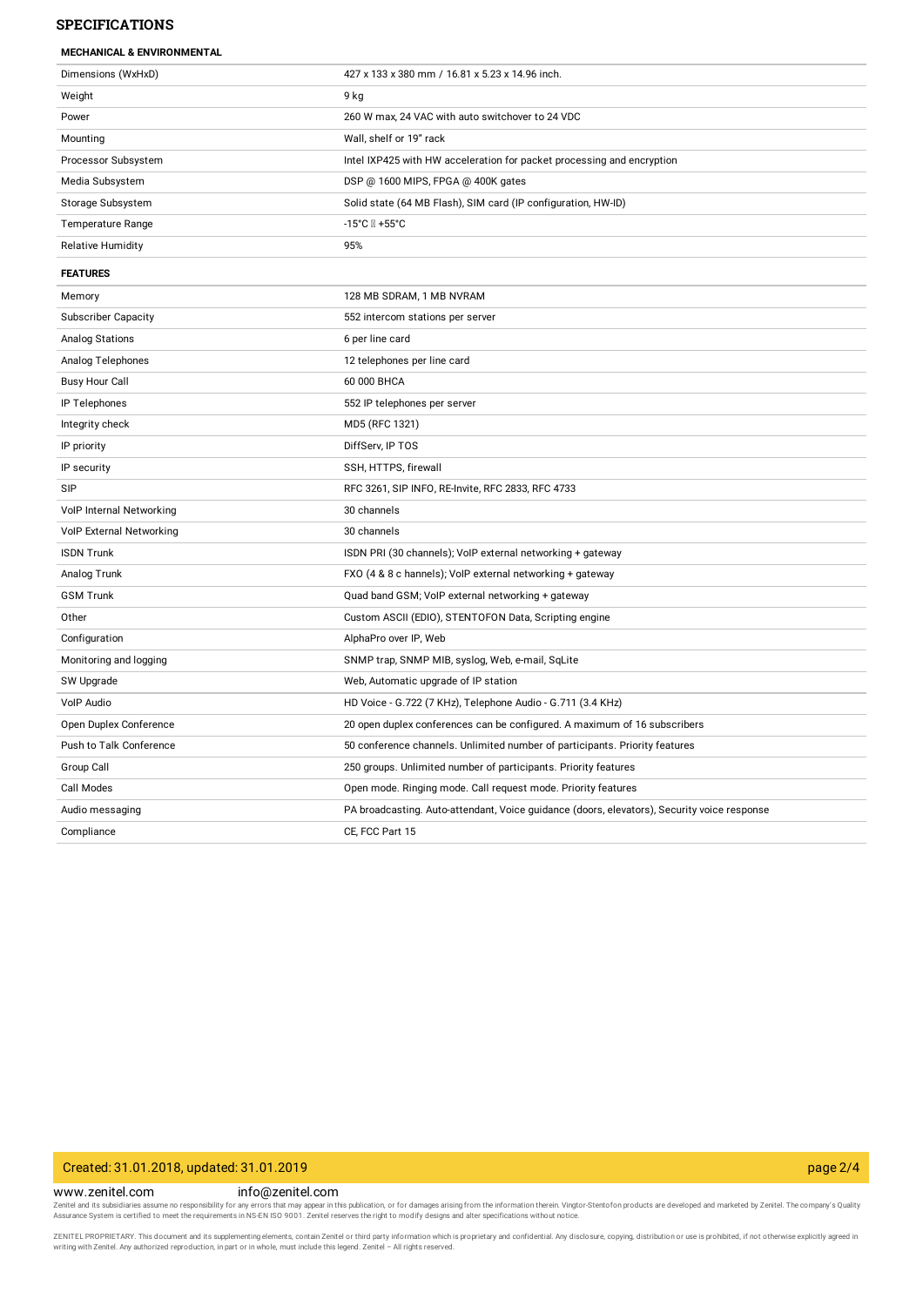#### **SPECIFICATIONS**

| Dimensions (WxHxD)              | 427 x 133 x 380 mm / 16.81 x 5.23 x 14.96 inch.                                             |
|---------------------------------|---------------------------------------------------------------------------------------------|
| Weight                          | 9 kg                                                                                        |
| Power                           | 260 W max, 24 VAC with auto switchover to 24 VDC                                            |
| Mounting                        | Wall, shelf or 19" rack                                                                     |
| Processor Subsystem             | Intel IXP425 with HW acceleration for packet processing and encryption                      |
| Media Subsystem                 | DSP @ 1600 MIPS, FPGA @ 400K gates                                                          |
| Storage Subsystem               | Solid state (64 MB Flash), SIM card (IP configuration, HW-ID)                               |
| <b>Temperature Range</b>        |                                                                                             |
| <b>Relative Humidity</b>        | 95%                                                                                         |
| <b>FEATURES</b>                 |                                                                                             |
| Memory                          | 128 MB SDRAM, 1 MB NVRAM                                                                    |
| <b>Subscriber Capacity</b>      | 552 intercom stations per server                                                            |
| <b>Analog Stations</b>          | 6 per line card                                                                             |
| Analog Telephones               | 12 telephones per line card                                                                 |
| <b>Busy Hour Call</b>           | 60 000 BHCA                                                                                 |
| IP Telephones                   | 552 IP telephones per server                                                                |
| Integrity check                 | MD5 (RFC 1321)                                                                              |
| IP priority                     | DiffServ, IP TOS                                                                            |
| IP security                     | SSH, HTTPS, firewall                                                                        |
| <b>SIP</b>                      | RFC 3261, SIP INFO, RE-Invite, RFC 2833, RFC 4733                                           |
| VolP Internal Networking        | 30 channels                                                                                 |
| <b>VoIP External Networking</b> | 30 channels                                                                                 |
| <b>ISDN Trunk</b>               | ISDN PRI (30 channels); VoIP external networking + gateway                                  |
| Analog Trunk                    | FXO (4 & 8 c hannels); VoIP external networking + gateway                                   |
| <b>GSM Trunk</b>                | Quad band GSM; VoIP external networking + gateway                                           |
| Other                           | Custom ASCII (EDIO), STENTOFON Data, Scripting engine                                       |
| Configuration                   | AlphaPro over IP, Web                                                                       |
| Monitoring and logging          | SNMP trap, SNMP MIB, syslog, Web, e-mail, SqLite                                            |
| SW Upgrade                      | Web, Automatic upgrade of IP station                                                        |
| VoIP Audio                      | HD Voice - G.722 (7 KHz), Telephone Audio - G.711 (3.4 KHz)                                 |
| Open Duplex Conference          | 20 open duplex conferences can be configured. A maximum of 16 subscribers                   |
| Push to Talk Conference         | 50 conference channels. Unlimited number of participants. Priority features                 |
| Group Call                      | 250 groups. Unlimited number of participants. Priority features                             |
| Call Modes                      | Open mode. Ringing mode. Call request mode. Priority features                               |
| Audio messaging                 | PA broadcasting. Auto-attendant, Voice guidance (doors, elevators), Security voice response |
| Compliance                      | CE, FCC Part 15                                                                             |

## Created: 31.01.2018, updated: 31.01.2019 page 2/4

www.zenitel.com info@zenitel.com

Zenitel and its subsidiaries assume no responsibility for any errors that may appear in this publication, or for damages arising from the information therein. Vingtor-Stentofon products are developed and marketed by Zenite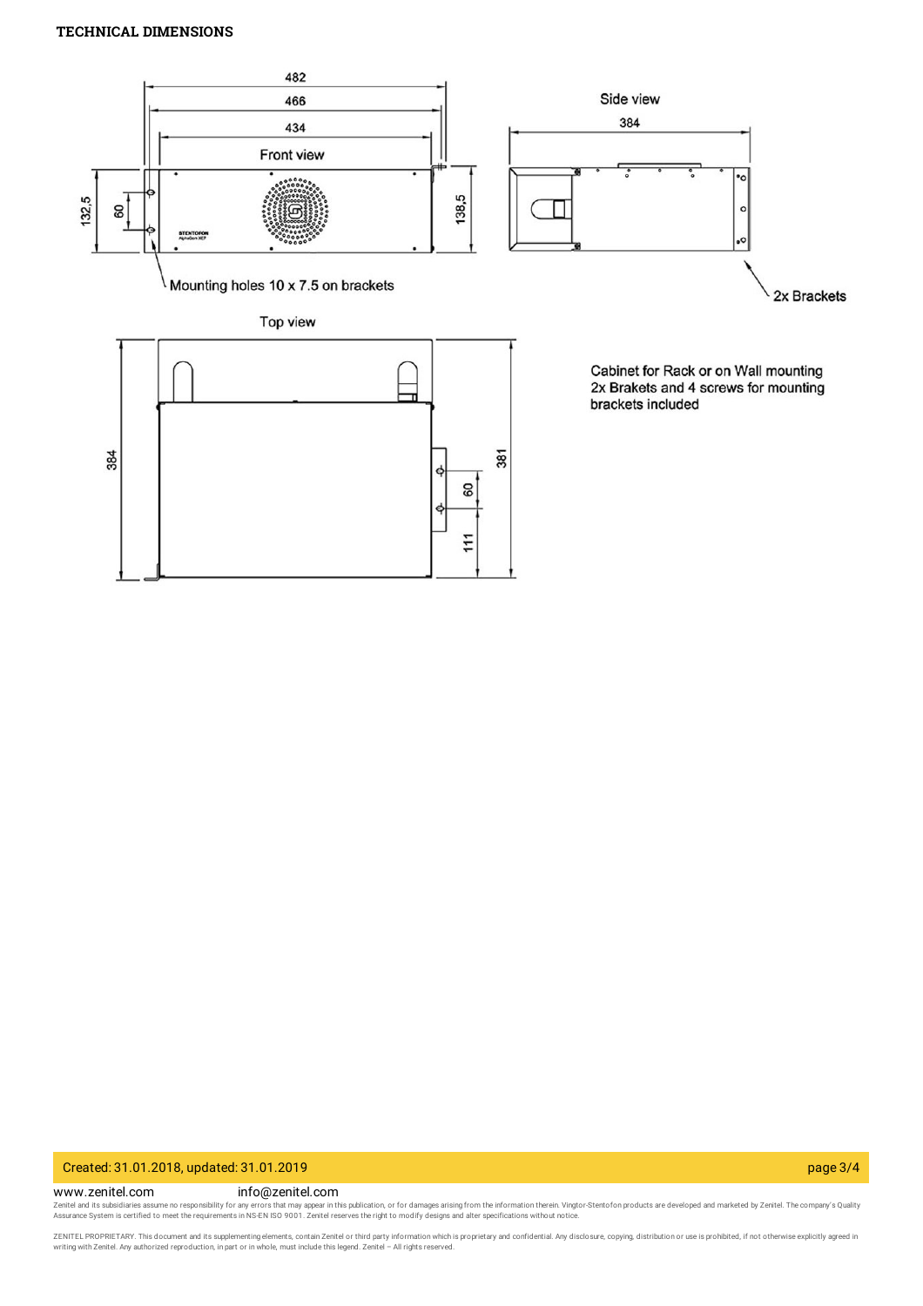## **TECHNICAL DIMENSIONS**



## Created: 31.01.2018, updated: 31.01.2019 page 3/4

#### www.zenitel.com info@zenitel.com

Zenitel and its subsidiaries assume no responsibility for any errors that may appear in this publication, or for damages arising from the information therein. Vingtor-Stentofon products are developed and marketed by Zenite